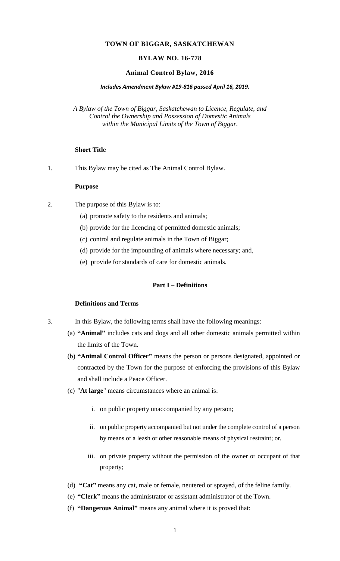#### **TOWN OF BIGGAR, SASKATCHEWAN**

#### **BYLAW NO. 16-778**

#### **Animal Control Bylaw, 2016**

#### *Includes Amendment Bylaw #19-816 passed April 16, 2019.*

*A Bylaw of the Town of Biggar, Saskatchewan to Licence, Regulate, and Control the Ownership and Possession of Domestic Animals within the Municipal Limits of the Town of Biggar.*

### **Short Title**

1. This Bylaw may be cited as The Animal Control Bylaw.

#### **Purpose**

- 2. The purpose of this Bylaw is to:
	- (a) promote safety to the residents and animals;
	- (b) provide for the licencing of permitted domestic animals;
	- (c) control and regulate animals in the Town of Biggar;
	- (d) provide for the impounding of animals where necessary; and,
	- (e) provide for standards of care for domestic animals.

### **Part I – Definitions**

#### **Definitions and Terms**

- 3. In this Bylaw, the following terms shall have the following meanings:
	- (a) **"Animal"** includes cats and dogs and all other domestic animals permitted within the limits of the Town.
	- (b) **"Animal Control Officer"** means the person or persons designated, appointed or contracted by the Town for the purpose of enforcing the provisions of this Bylaw and shall include a Peace Officer.
	- (c) "**At large**" means circumstances where an animal is:
		- i. on public property unaccompanied by any person;
		- ii. on public property accompanied but not under the complete control of a person by means of a leash or other reasonable means of physical restraint; or,
		- iii. on private property without the permission of the owner or occupant of that property;
	- (d) **"Cat"** means any cat, male or female, neutered or sprayed, of the feline family.
	- (e) **"Clerk"** means the administrator or assistant administrator of the Town.
	- (f) **"Dangerous Animal"** means any animal where it is proved that: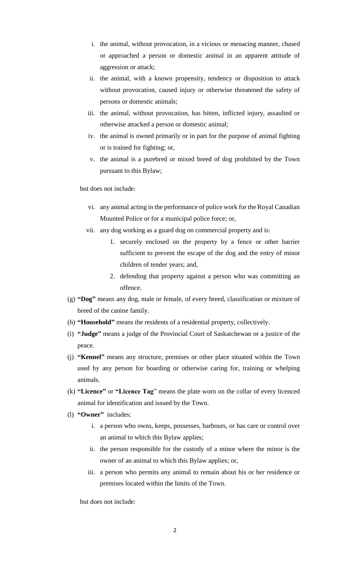- i. the animal, without provocation, in a vicious or menacing manner, chased or approached a person or domestic animal in an apparent attitude of aggression or attack;
- ii. the animal, with a known propensity, tendency or disposition to attack without provocation, caused injury or otherwise threatened the safety of persons or domestic animals;
- iii. the animal, without provocation, has bitten, inflicted injury, assaulted or otherwise attacked a person or domestic animal;
- iv. the animal is owned primarily or in part for the purpose of animal fighting or is trained for fighting; or,
- v. the animal is a purebred or mixed breed of dog prohibited by the Town pursuant to this Bylaw;

### but does not include:

- vi. any animal acting in the performance of police work for the Royal Canadian Mounted Police or for a municipal police force; or,
- vii. any dog working as a guard dog on commercial property and is:
	- 1. securely enclosed on the property by a fence or other barrier sufficient to prevent the escape of the dog and the entry of minor children of tender years; and,
	- 2. defending that property against a person who was committing an offence.
- (g) **"Dog"** means any dog, male or female, of every breed, classification or mixture of breed of the canine family.
- (h) **"Household"** means the residents of a residential property, collectively.
- (i) **"Judge"** means a judge of the Provincial Court of Saskatchewan or a justice of the peace.
- (j) **"Kennel"** means any structure, premises or other place situated within the Town used by any person for boarding or otherwise caring for, training or whelping animals.
- (k) **"Licence"** or **"Licence Tag**" means the plate worn on the collar of every licenced animal for identification and issued by the Town.
- (l) **"Owner"** includes:
	- i. a person who owns, keeps, possesses, harbours, or has care or control over an animal to which this Bylaw applies;
	- ii. the person responsible for the custody of a minor where the minor is the owner of an animal to which this Bylaw applies; or,
	- iii. a person who permits any animal to remain about his or her residence or premises located within the limits of the Town.

but does not include: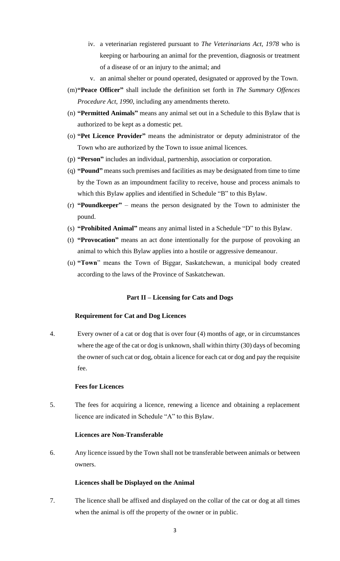- iv. a veterinarian registered pursuant to *The Veterinarians Act, 1978* who is keeping or harbouring an animal for the prevention, diagnosis or treatment of a disease of or an injury to the animal; and
- v. an animal shelter or pound operated, designated or approved by the Town.
- (m)**"Peace Officer"** shall include the definition set forth in *The Summary Offences Procedure Act, 1990*, including any amendments thereto.
- (n) **"Permitted Animals"** means any animal set out in a Schedule to this Bylaw that is authorized to be kept as a domestic pet.
- (o) **"Pet Licence Provider"** means the administrator or deputy administrator of the Town who are authorized by the Town to issue animal licences.
- (p) **"Person"** includes an individual, partnership, association or corporation.
- (q) **"Pound"** means such premises and facilities as may be designated from time to time by the Town as an impoundment facility to receive, house and process animals to which this Bylaw applies and identified in Schedule "B" to this Bylaw.
- (r) **"Poundkeeper"** means the person designated by the Town to administer the pound.
- (s) **"Prohibited Animal"** means any animal listed in a Schedule "D" to this Bylaw.
- (t) **"Provocation"** means an act done intentionally for the purpose of provoking an animal to which this Bylaw applies into a hostile or aggressive demeanour.
- (u) **"Town**" means the Town of Biggar, Saskatchewan, a municipal body created according to the laws of the Province of Saskatchewan.

#### **Part II – Licensing for Cats and Dogs**

#### **Requirement for Cat and Dog Licences**

4. Every owner of a cat or dog that is over four (4) months of age, or in circumstances where the age of the cat or dog is unknown, shall within thirty (30) days of becoming the owner of such cat or dog, obtain a licence for each cat or dog and pay the requisite fee.

#### **Fees for Licences**

5. The fees for acquiring a licence, renewing a licence and obtaining a replacement licence are indicated in Schedule "A" to this Bylaw.

### **Licences are Non-Transferable**

6. Any licence issued by the Town shall not be transferable between animals or between owners.

#### **Licences shall be Displayed on the Animal**

7. The licence shall be affixed and displayed on the collar of the cat or dog at all times when the animal is off the property of the owner or in public.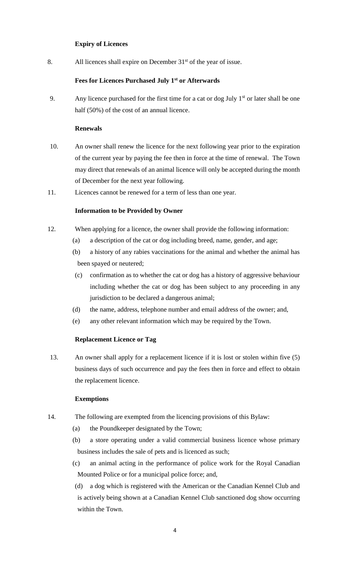# **Expiry of Licences**

8. All licences shall expire on December  $31<sup>st</sup>$  of the year of issue.

# **Fees for Licences Purchased July 1st or Afterwards**

9. Any licence purchased for the first time for a cat or dog July  $1<sup>st</sup>$  or later shall be one half (50%) of the cost of an annual licence.

# **Renewals**

- 10. An owner shall renew the licence for the next following year prior to the expiration of the current year by paying the fee then in force at the time of renewal. The Town may direct that renewals of an animal licence will only be accepted during the month of December for the next year following.
- 11. Licences cannot be renewed for a term of less than one year.

# **Information to be Provided by Owner**

- 12. When applying for a licence, the owner shall provide the following information:
	- (a) a description of the cat or dog including breed, name, gender, and age;
	- (b) a history of any rabies vaccinations for the animal and whether the animal has been spayed or neutered;
	- (c) confirmation as to whether the cat or dog has a history of aggressive behaviour including whether the cat or dog has been subject to any proceeding in any jurisdiction to be declared a dangerous animal;
	- (d) the name, address, telephone number and email address of the owner; and,
	- (e) any other relevant information which may be required by the Town.

# **Replacement Licence or Tag**

13. An owner shall apply for a replacement licence if it is lost or stolen within five (5) business days of such occurrence and pay the fees then in force and effect to obtain the replacement licence.

# **Exemptions**

- 14. The following are exempted from the licencing provisions of this Bylaw:
	- (a) the Poundkeeper designated by the Town;
	- (b) a store operating under a valid commercial business licence whose primary business includes the sale of pets and is licenced as such;
	- (c) an animal acting in the performance of police work for the Royal Canadian Mounted Police or for a municipal police force; and,
	- (d) a dog which is registered with the American or the Canadian Kennel Club and is actively being shown at a Canadian Kennel Club sanctioned dog show occurring within the Town.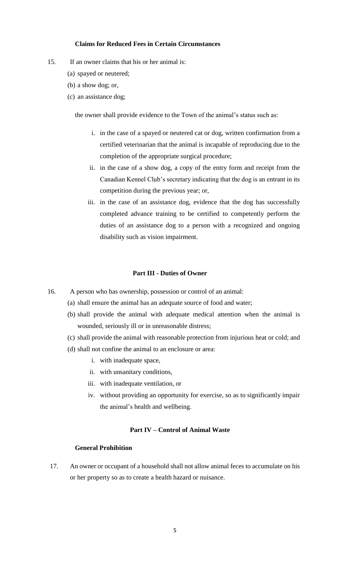# **Claims for Reduced Fees in Certain Circumstances**

- 15. If an owner claims that his or her animal is:
	- (a) spayed or neutered;
	- (b) a show dog; or,
	- (c) an assistance dog;

the owner shall provide evidence to the Town of the animal's status such as:

- i. in the case of a spayed or neutered cat or dog, written confirmation from a certified veterinarian that the animal is incapable of reproducing due to the completion of the appropriate surgical procedure;
- ii. in the case of a show dog, a copy of the entry form and receipt from the Canadian Kennel Club's secretary indicating that the dog is an entrant in its competition during the previous year; or,
- iii. in the case of an assistance dog, evidence that the dog has successfully completed advance training to be certified to competently perform the duties of an assistance dog to a person with a recognized and ongoing disability such as vision impairment.

#### **Part III - Duties of Owner**

- 16. A person who has ownership, possession or control of an animal:
	- (a) shall ensure the animal has an adequate source of food and water;
	- (b) shall provide the animal with adequate medical attention when the animal is wounded, seriously ill or in unreasonable distress;
	- (c) shall provide the animal with reasonable protection from injurious heat or cold; and
	- (d) shall not confine the animal to an enclosure or area:
		- i. with inadequate space,
		- ii. with unsanitary conditions,
		- iii. with inadequate ventilation, or
		- iv. without providing an opportunity for exercise, so as to significantly impair the animal's health and wellbeing.

### **Part IV – Control of Animal Waste**

# **General Prohibition**

17. An owner or occupant of a household shall not allow animal feces to accumulate on his or her property so as to create a health hazard or nuisance.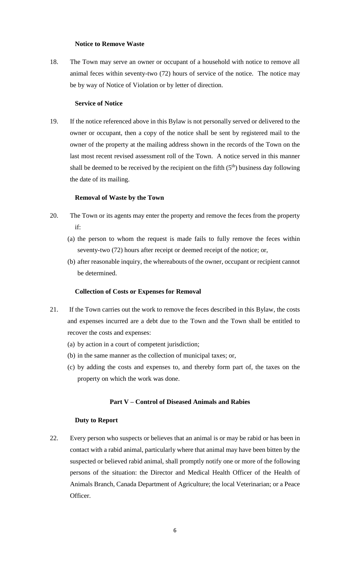#### **Notice to Remove Waste**

18. The Town may serve an owner or occupant of a household with notice to remove all animal feces within seventy-two (72) hours of service of the notice. The notice may be by way of Notice of Violation or by letter of direction.

### **Service of Notice**

19. If the notice referenced above in this Bylaw is not personally served or delivered to the owner or occupant, then a copy of the notice shall be sent by registered mail to the owner of the property at the mailing address shown in the records of the Town on the last most recent revised assessment roll of the Town. A notice served in this manner shall be deemed to be received by the recipient on the fifth  $(5<sup>th</sup>)$  business day following the date of its mailing.

#### **Removal of Waste by the Town**

- 20. The Town or its agents may enter the property and remove the feces from the property if:
	- (a) the person to whom the request is made fails to fully remove the feces within seventy-two (72) hours after receipt or deemed receipt of the notice; or,
	- (b) after reasonable inquiry, the whereabouts of the owner, occupant or recipient cannot be determined.

#### **Collection of Costs or Expenses for Removal**

- 21. If the Town carries out the work to remove the feces described in this Bylaw, the costs and expenses incurred are a debt due to the Town and the Town shall be entitled to recover the costs and expenses:
	- (a) by action in a court of competent jurisdiction;
	- (b) in the same manner as the collection of municipal taxes; or,
	- (c) by adding the costs and expenses to, and thereby form part of, the taxes on the property on which the work was done.

#### **Part V – Control of Diseased Animals and Rabies**

#### **Duty to Report**

22. Every person who suspects or believes that an animal is or may be rabid or has been in contact with a rabid animal, particularly where that animal may have been bitten by the suspected or believed rabid animal, shall promptly notify one or more of the following persons of the situation: the Director and Medical Health Officer of the Health of Animals Branch, Canada Department of Agriculture; the local Veterinarian; or a Peace Officer.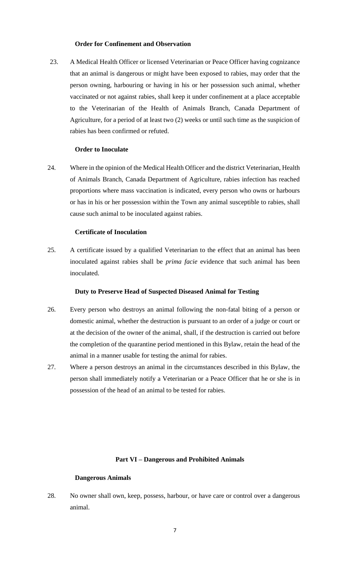### **Order for Confinement and Observation**

23. A Medical Health Officer or licensed Veterinarian or Peace Officer having cognizance that an animal is dangerous or might have been exposed to rabies, may order that the person owning, harbouring or having in his or her possession such animal, whether vaccinated or not against rabies, shall keep it under confinement at a place acceptable to the Veterinarian of the Health of Animals Branch, Canada Department of Agriculture, for a period of at least two (2) weeks or until such time as the suspicion of rabies has been confirmed or refuted.

#### **Order to Inoculate**

24. Where in the opinion of the Medical Health Officer and the district Veterinarian, Health of Animals Branch, Canada Department of Agriculture, rabies infection has reached proportions where mass vaccination is indicated, every person who owns or harbours or has in his or her possession within the Town any animal susceptible to rabies, shall cause such animal to be inoculated against rabies.

#### **Certificate of Inoculation**

25. A certificate issued by a qualified Veterinarian to the effect that an animal has been inoculated against rabies shall be *prima facie* evidence that such animal has been inoculated.

#### **Duty to Preserve Head of Suspected Diseased Animal for Testing**

- 26. Every person who destroys an animal following the non-fatal biting of a person or domestic animal, whether the destruction is pursuant to an order of a judge or court or at the decision of the owner of the animal, shall, if the destruction is carried out before the completion of the quarantine period mentioned in this Bylaw, retain the head of the animal in a manner usable for testing the animal for rabies.
- 27. Where a person destroys an animal in the circumstances described in this Bylaw, the person shall immediately notify a Veterinarian or a Peace Officer that he or she is in possession of the head of an animal to be tested for rabies.

#### **Part VI – Dangerous and Prohibited Animals**

#### **Dangerous Animals**

28. No owner shall own, keep, possess, harbour, or have care or control over a dangerous animal.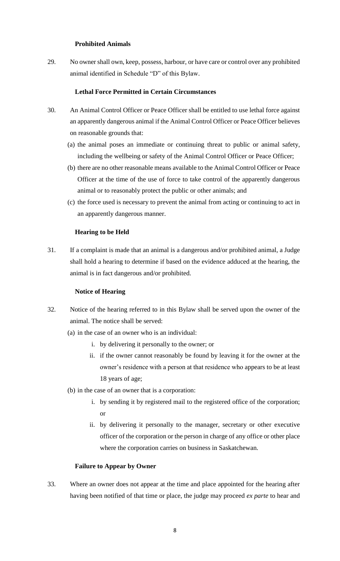### **Prohibited Animals**

29. No owner shall own, keep, possess, harbour, or have care or control over any prohibited animal identified in Schedule "D" of this Bylaw.

### **Lethal Force Permitted in Certain Circumstances**

- 30. An Animal Control Officer or Peace Officer shall be entitled to use lethal force against an apparently dangerous animal if the Animal Control Officer or Peace Officer believes on reasonable grounds that:
	- (a) the animal poses an immediate or continuing threat to public or animal safety, including the wellbeing or safety of the Animal Control Officer or Peace Officer;
	- (b) there are no other reasonable means available to the Animal Control Officer or Peace Officer at the time of the use of force to take control of the apparently dangerous animal or to reasonably protect the public or other animals; and
	- (c) the force used is necessary to prevent the animal from acting or continuing to act in an apparently dangerous manner.

#### **Hearing to be Held**

31. If a complaint is made that an animal is a dangerous and/or prohibited animal, a Judge shall hold a hearing to determine if based on the evidence adduced at the hearing, the animal is in fact dangerous and/or prohibited.

#### **Notice of Hearing**

- 32. Notice of the hearing referred to in this Bylaw shall be served upon the owner of the animal. The notice shall be served:
	- (a) in the case of an owner who is an individual:
		- i. by delivering it personally to the owner; or
		- ii. if the owner cannot reasonably be found by leaving it for the owner at the owner's residence with a person at that residence who appears to be at least 18 years of age;
	- (b) in the case of an owner that is a corporation:
		- i. by sending it by registered mail to the registered office of the corporation; or
		- ii. by delivering it personally to the manager, secretary or other executive officer of the corporation or the person in charge of any office or other place where the corporation carries on business in Saskatchewan.

#### **Failure to Appear by Owner**

33. Where an owner does not appear at the time and place appointed for the hearing after having been notified of that time or place, the judge may proceed *ex parte* to hear and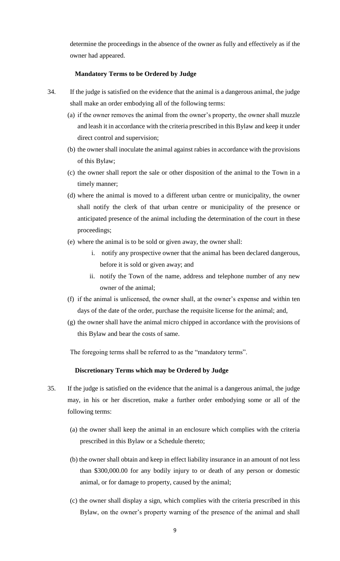determine the proceedings in the absence of the owner as fully and effectively as if the owner had appeared.

#### **Mandatory Terms to be Ordered by Judge**

- 34. If the judge is satisfied on the evidence that the animal is a dangerous animal, the judge shall make an order embodying all of the following terms:
	- (a) if the owner removes the animal from the owner's property, the owner shall muzzle and leash it in accordance with the criteria prescribed in this Bylaw and keep it under direct control and supervision;
	- (b) the owner shall inoculate the animal against rabies in accordance with the provisions of this Bylaw;
	- (c) the owner shall report the sale or other disposition of the animal to the Town in a timely manner;
	- (d) where the animal is moved to a different urban centre or municipality, the owner shall notify the clerk of that urban centre or municipality of the presence or anticipated presence of the animal including the determination of the court in these proceedings;
	- (e) where the animal is to be sold or given away, the owner shall:
		- i. notify any prospective owner that the animal has been declared dangerous, before it is sold or given away; and
		- ii. notify the Town of the name, address and telephone number of any new owner of the animal;
	- (f) if the animal is unlicensed, the owner shall, at the owner's expense and within ten days of the date of the order, purchase the requisite license for the animal; and,
	- (g) the owner shall have the animal micro chipped in accordance with the provisions of this Bylaw and bear the costs of same.

The foregoing terms shall be referred to as the "mandatory terms".

#### **Discretionary Terms which may be Ordered by Judge**

- 35. If the judge is satisfied on the evidence that the animal is a dangerous animal, the judge may, in his or her discretion, make a further order embodying some or all of the following terms:
	- (a) the owner shall keep the animal in an enclosure which complies with the criteria prescribed in this Bylaw or a Schedule thereto;
	- (b) the owner shall obtain and keep in effect liability insurance in an amount of not less than \$300,000.00 for any bodily injury to or death of any person or domestic animal, or for damage to property, caused by the animal;
	- (c) the owner shall display a sign, which complies with the criteria prescribed in this Bylaw, on the owner's property warning of the presence of the animal and shall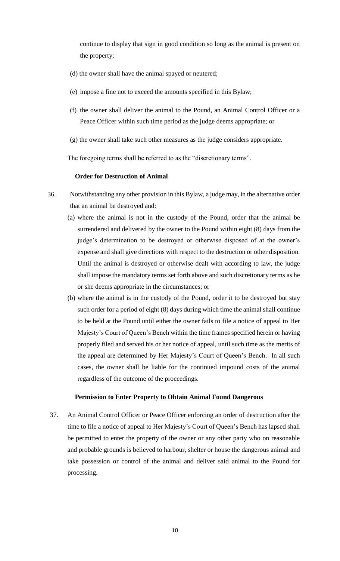continue to display that sign in good condition so long as the animal is present on the property;

- (d) the owner shall have the animal spayed or neutered;
- (e) impose a fine not to exceed the amounts specified in this Bylaw;
- (f) the owner shall deliver the animal to the Pound, an Animal Control Officer or a Peace Officer within such time period as the judge deems appropriate; or
- (g) the owner shall take such other measures as the judge considers appropriate.

The foregoing terms shall be referred to as the "discretionary terms".

#### **Order for Destruction of Animal**

- 36. Notwithstanding any other provision in this Bylaw, a judge may, in the alternative order that an animal be destroyed and:
	- (a) where the animal is not in the custody of the Pound, order that the animal be surrendered and delivered by the owner to the Pound within eight (8) days from the judge's determination to be destroyed or otherwise disposed of at the owner's expense and shall give directions with respect to the destruction or other disposition. Until the animal is destroyed or otherwise dealt with according to law, the judge shall impose the mandatory terms set forth above and such discretionary terms as he or she deems appropriate in the circumstances; or
	- (b) where the animal is in the custody of the Pound, order it to be destroyed but stay such order for a period of eight (8) days during which time the animal shall continue to be held at the Pound until either the owner fails to file a notice of appeal to Her Majesty's Court of Queen's Bench within the time frames specified herein or having properly filed and served his or her notice of appeal, until such time as the merits of the appeal are determined by Her Majesty's Court of Queen's Bench. In all such cases, the owner shall be liable for the continued impound costs of the animal regardless of the outcome of the proceedings.

#### **Permission to Enter Property to Obtain Animal Found Dangerous**

37. An Animal Control Officer or Peace Officer enforcing an order of destruction after the time to file a notice of appeal to Her Majesty's Court of Queen's Bench has lapsed shall be permitted to enter the property of the owner or any other party who on reasonable and probable grounds is believed to harbour, shelter or house the dangerous animal and take possession or control of the animal and deliver said animal to the Pound for processing.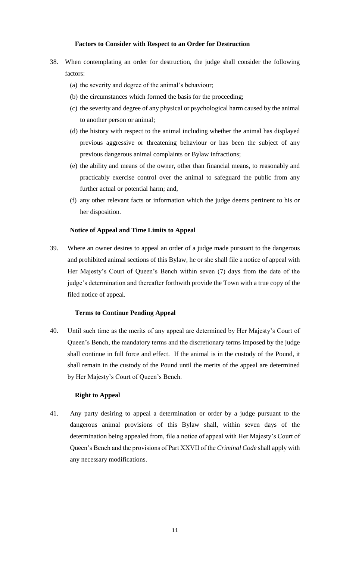### **Factors to Consider with Respect to an Order for Destruction**

- 38. When contemplating an order for destruction, the judge shall consider the following factors:
	- (a) the severity and degree of the animal's behaviour;
	- (b) the circumstances which formed the basis for the proceeding;
	- (c) the severity and degree of any physical or psychological harm caused by the animal to another person or animal;
	- (d) the history with respect to the animal including whether the animal has displayed previous aggressive or threatening behaviour or has been the subject of any previous dangerous animal complaints or Bylaw infractions;
	- (e) the ability and means of the owner, other than financial means, to reasonably and practicably exercise control over the animal to safeguard the public from any further actual or potential harm; and,
	- (f) any other relevant facts or information which the judge deems pertinent to his or her disposition.

### **Notice of Appeal and Time Limits to Appeal**

39. Where an owner desires to appeal an order of a judge made pursuant to the dangerous and prohibited animal sections of this Bylaw, he or she shall file a notice of appeal with Her Majesty's Court of Queen's Bench within seven (7) days from the date of the judge's determination and thereafter forthwith provide the Town with a true copy of the filed notice of appeal.

### **Terms to Continue Pending Appeal**

40. Until such time as the merits of any appeal are determined by Her Majesty's Court of Queen's Bench, the mandatory terms and the discretionary terms imposed by the judge shall continue in full force and effect. If the animal is in the custody of the Pound, it shall remain in the custody of the Pound until the merits of the appeal are determined by Her Majesty's Court of Queen's Bench.

# **Right to Appeal**

41. Any party desiring to appeal a determination or order by a judge pursuant to the dangerous animal provisions of this Bylaw shall, within seven days of the determination being appealed from, file a notice of appeal with Her Majesty's Court of Queen's Bench and the provisions of Part XXVII of the *Criminal Code* shall apply with any necessary modifications.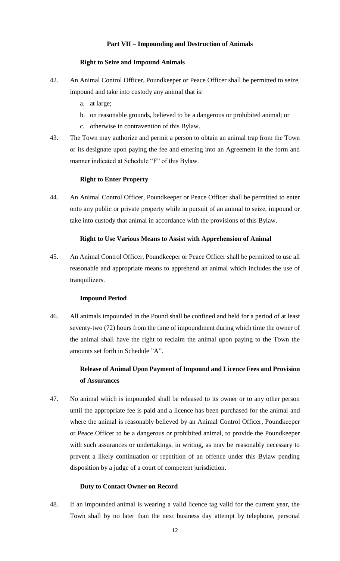# **Part VII – Impounding and Destruction of Animals**

#### **Right to Seize and Impound Animals**

- 42. An Animal Control Officer, Poundkeeper or Peace Officer shall be permitted to seize, impound and take into custody any animal that is:
	- a. at large;
	- b. on reasonable grounds, believed to be a dangerous or prohibited animal; or
	- c. otherwise in contravention of this Bylaw.
- 43. The Town may authorize and permit a person to obtain an animal trap from the Town or its designate upon paying the fee and entering into an Agreement in the form and manner indicated at Schedule "F" of this Bylaw.

#### **Right to Enter Property**

44. An Animal Control Officer, Poundkeeper or Peace Officer shall be permitted to enter onto any public or private property while in pursuit of an animal to seize, impound or take into custody that animal in accordance with the provisions of this Bylaw.

#### **Right to Use Various Means to Assist with Apprehension of Animal**

45. An Animal Control Officer, Poundkeeper or Peace Officer shall be permitted to use all reasonable and appropriate means to apprehend an animal which includes the use of tranquilizers.

#### **Impound Period**

46. All animals impounded in the Pound shall be confined and held for a period of at least seventy-two (72) hours from the time of impoundment during which time the owner of the animal shall have the right to reclaim the animal upon paying to the Town the amounts set forth in Schedule "A".

# **Release of Animal Upon Payment of Impound and Licence Fees and Provision of Assurances**

47. No animal which is impounded shall be released to its owner or to any other person until the appropriate fee is paid and a licence has been purchased for the animal and where the animal is reasonably believed by an Animal Control Officer, Poundkeeper or Peace Officer to be a dangerous or prohibited animal, to provide the Poundkeeper with such assurances or undertakings, in writing, as may be reasonably necessary to prevent a likely continuation or repetition of an offence under this Bylaw pending disposition by a judge of a court of competent jurisdiction.

#### **Duty to Contact Owner on Record**

48. If an impounded animal is wearing a valid licence tag valid for the current year, the Town shall by no later than the next business day attempt by telephone, personal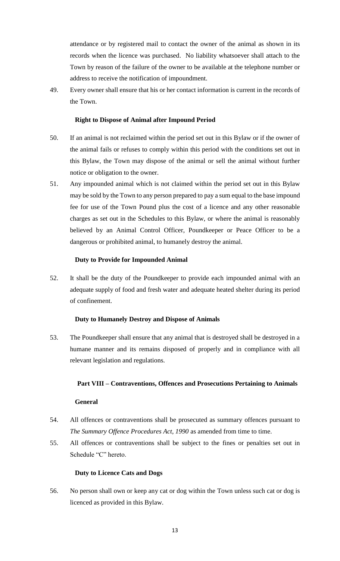attendance or by registered mail to contact the owner of the animal as shown in its records when the licence was purchased. No liability whatsoever shall attach to the Town by reason of the failure of the owner to be available at the telephone number or address to receive the notification of impoundment.

49. Every owner shall ensure that his or her contact information is current in the records of the Town.

### **Right to Dispose of Animal after Impound Period**

- 50. If an animal is not reclaimed within the period set out in this Bylaw or if the owner of the animal fails or refuses to comply within this period with the conditions set out in this Bylaw, the Town may dispose of the animal or sell the animal without further notice or obligation to the owner.
- 51. Any impounded animal which is not claimed within the period set out in this Bylaw may be sold by the Town to any person prepared to pay a sum equal to the base impound fee for use of the Town Pound plus the cost of a licence and any other reasonable charges as set out in the Schedules to this Bylaw, or where the animal is reasonably believed by an Animal Control Officer, Poundkeeper or Peace Officer to be a dangerous or prohibited animal, to humanely destroy the animal.

# **Duty to Provide for Impounded Animal**

52. It shall be the duty of the Poundkeeper to provide each impounded animal with an adequate supply of food and fresh water and adequate heated shelter during its period of confinement.

### **Duty to Humanely Destroy and Dispose of Animals**

53. The Poundkeeper shall ensure that any animal that is destroyed shall be destroyed in a humane manner and its remains disposed of properly and in compliance with all relevant legislation and regulations.

### **Part VIII – Contraventions, Offences and Prosecutions Pertaining to Animals**

### **General**

- 54. All offences or contraventions shall be prosecuted as summary offences pursuant to *The Summary Offence Procedures Act, 1990* as amended from time to time.
- 55. All offences or contraventions shall be subject to the fines or penalties set out in Schedule "C" hereto.

### **Duty to Licence Cats and Dogs**

56. No person shall own or keep any cat or dog within the Town unless such cat or dog is licenced as provided in this Bylaw.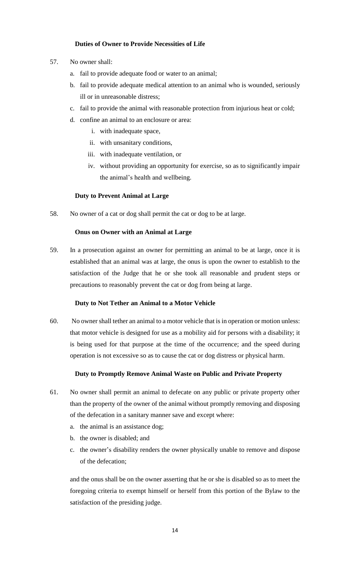# **Duties of Owner to Provide Necessities of Life**

- 57. No owner shall:
	- a. fail to provide adequate food or water to an animal;
	- b. fail to provide adequate medical attention to an animal who is wounded, seriously ill or in unreasonable distress;
	- c. fail to provide the animal with reasonable protection from injurious heat or cold;
	- d. confine an animal to an enclosure or area:
		- i. with inadequate space,
		- ii. with unsanitary conditions,
		- iii. with inadequate ventilation, or
		- iv. without providing an opportunity for exercise, so as to significantly impair the animal's health and wellbeing.

# **Duty to Prevent Animal at Large**

58. No owner of a cat or dog shall permit the cat or dog to be at large.

### **Onus on Owner with an Animal at Large**

59. In a prosecution against an owner for permitting an animal to be at large, once it is established that an animal was at large, the onus is upon the owner to establish to the satisfaction of the Judge that he or she took all reasonable and prudent steps or precautions to reasonably prevent the cat or dog from being at large.

### **Duty to Not Tether an Animal to a Motor Vehicle**

60. No ownershall tether an animal to a motor vehicle that is in operation or motion unless: that motor vehicle is designed for use as a mobility aid for persons with a disability; it is being used for that purpose at the time of the occurrence; and the speed during operation is not excessive so as to cause the cat or dog distress or physical harm.

### **Duty to Promptly Remove Animal Waste on Public and Private Property**

- 61. No owner shall permit an animal to defecate on any public or private property other than the property of the owner of the animal without promptly removing and disposing of the defecation in a sanitary manner save and except where:
	- a. the animal is an assistance dog;
	- b. the owner is disabled; and
	- c. the owner's disability renders the owner physically unable to remove and dispose of the defecation;

and the onus shall be on the owner asserting that he or she is disabled so as to meet the foregoing criteria to exempt himself or herself from this portion of the Bylaw to the satisfaction of the presiding judge.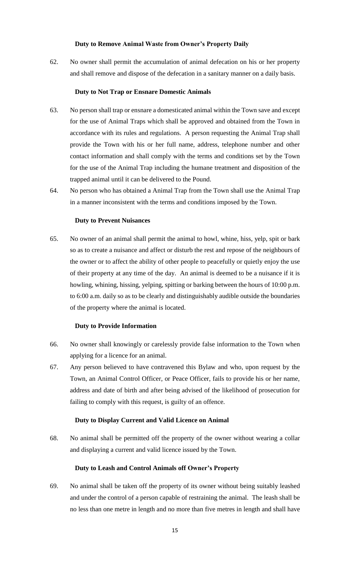### **Duty to Remove Animal Waste from Owner's Property Daily**

62. No owner shall permit the accumulation of animal defecation on his or her property and shall remove and dispose of the defecation in a sanitary manner on a daily basis.

### **Duty to Not Trap or Ensnare Domestic Animals**

- 63. No person shall trap or ensnare a domesticated animal within the Town save and except for the use of Animal Traps which shall be approved and obtained from the Town in accordance with its rules and regulations. A person requesting the Animal Trap shall provide the Town with his or her full name, address, telephone number and other contact information and shall comply with the terms and conditions set by the Town for the use of the Animal Trap including the humane treatment and disposition of the trapped animal until it can be delivered to the Pound.
- 64. No person who has obtained a Animal Trap from the Town shall use the Animal Trap in a manner inconsistent with the terms and conditions imposed by the Town.

### **Duty to Prevent Nuisances**

65. No owner of an animal shall permit the animal to howl, whine, hiss, yelp, spit or bark so as to create a nuisance and affect or disturb the rest and repose of the neighbours of the owner or to affect the ability of other people to peacefully or quietly enjoy the use of their property at any time of the day. An animal is deemed to be a nuisance if it is howling, whining, hissing, yelping, spitting or barking between the hours of 10:00 p.m. to 6:00 a.m. daily so as to be clearly and distinguishably audible outside the boundaries of the property where the animal is located.

### **Duty to Provide Information**

- 66. No owner shall knowingly or carelessly provide false information to the Town when applying for a licence for an animal.
- 67. Any person believed to have contravened this Bylaw and who, upon request by the Town, an Animal Control Officer, or Peace Officer, fails to provide his or her name, address and date of birth and after being advised of the likelihood of prosecution for failing to comply with this request, is guilty of an offence.

### **Duty to Display Current and Valid Licence on Animal**

68. No animal shall be permitted off the property of the owner without wearing a collar and displaying a current and valid licence issued by the Town.

### **Duty to Leash and Control Animals off Owner's Property**

69. No animal shall be taken off the property of its owner without being suitably leashed and under the control of a person capable of restraining the animal. The leash shall be no less than one metre in length and no more than five metres in length and shall have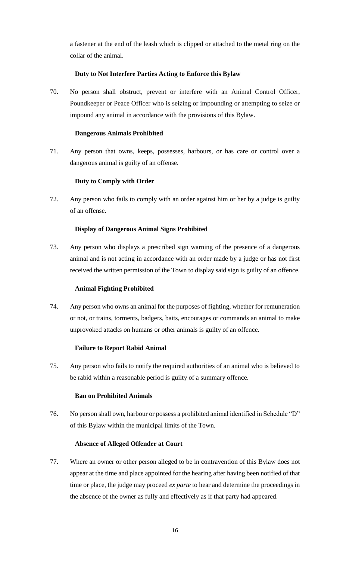a fastener at the end of the leash which is clipped or attached to the metal ring on the collar of the animal.

# **Duty to Not Interfere Parties Acting to Enforce this Bylaw**

70. No person shall obstruct, prevent or interfere with an Animal Control Officer, Poundkeeper or Peace Officer who is seizing or impounding or attempting to seize or impound any animal in accordance with the provisions of this Bylaw.

# **Dangerous Animals Prohibited**

71. Any person that owns, keeps, possesses, harbours, or has care or control over a dangerous animal is guilty of an offense.

# **Duty to Comply with Order**

72. Any person who fails to comply with an order against him or her by a judge is guilty of an offense.

# **Display of Dangerous Animal Signs Prohibited**

73. Any person who displays a prescribed sign warning of the presence of a dangerous animal and is not acting in accordance with an order made by a judge or has not first received the written permission of the Town to display said sign is guilty of an offence.

### **Animal Fighting Prohibited**

74. Any person who owns an animal for the purposes of fighting, whether for remuneration or not, or trains, torments, badgers, baits, encourages or commands an animal to make unprovoked attacks on humans or other animals is guilty of an offence.

# **Failure to Report Rabid Animal**

75. Any person who fails to notify the required authorities of an animal who is believed to be rabid within a reasonable period is guilty of a summary offence.

### **Ban on Prohibited Animals**

76. No person shall own, harbour or possess a prohibited animal identified in Schedule "D" of this Bylaw within the municipal limits of the Town.

# **Absence of Alleged Offender at Court**

77. Where an owner or other person alleged to be in contravention of this Bylaw does not appear at the time and place appointed for the hearing after having been notified of that time or place, the judge may proceed *ex parte* to hear and determine the proceedings in the absence of the owner as fully and effectively as if that party had appeared.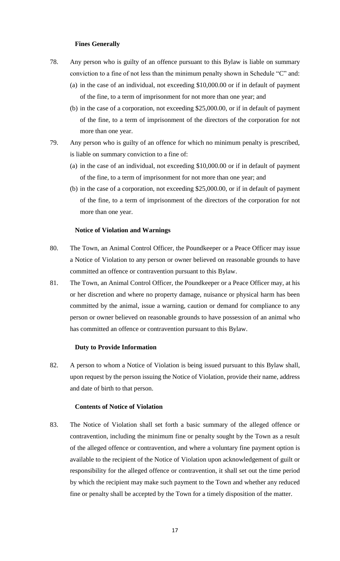### **Fines Generally**

- 78. Any person who is guilty of an offence pursuant to this Bylaw is liable on summary conviction to a fine of not less than the minimum penalty shown in Schedule "C" and:
	- (a) in the case of an individual, not exceeding \$10,000.00 or if in default of payment of the fine, to a term of imprisonment for not more than one year; and
	- (b) in the case of a corporation, not exceeding \$25,000.00, or if in default of payment of the fine, to a term of imprisonment of the directors of the corporation for not more than one year.
- 79. Any person who is guilty of an offence for which no minimum penalty is prescribed, is liable on summary conviction to a fine of:
	- (a) in the case of an individual, not exceeding \$10,000.00 or if in default of payment of the fine, to a term of imprisonment for not more than one year; and
	- (b) in the case of a corporation, not exceeding \$25,000.00, or if in default of payment of the fine, to a term of imprisonment of the directors of the corporation for not more than one year.

#### **Notice of Violation and Warnings**

- 80. The Town, an Animal Control Officer, the Poundkeeper or a Peace Officer may issue a Notice of Violation to any person or owner believed on reasonable grounds to have committed an offence or contravention pursuant to this Bylaw.
- 81. The Town, an Animal Control Officer, the Poundkeeper or a Peace Officer may, at his or her discretion and where no property damage, nuisance or physical harm has been committed by the animal, issue a warning, caution or demand for compliance to any person or owner believed on reasonable grounds to have possession of an animal who has committed an offence or contravention pursuant to this Bylaw.

### **Duty to Provide Information**

82. A person to whom a Notice of Violation is being issued pursuant to this Bylaw shall, upon request by the person issuing the Notice of Violation, provide their name, address and date of birth to that person.

#### **Contents of Notice of Violation**

83. The Notice of Violation shall set forth a basic summary of the alleged offence or contravention, including the minimum fine or penalty sought by the Town as a result of the alleged offence or contravention, and where a voluntary fine payment option is available to the recipient of the Notice of Violation upon acknowledgement of guilt or responsibility for the alleged offence or contravention, it shall set out the time period by which the recipient may make such payment to the Town and whether any reduced fine or penalty shall be accepted by the Town for a timely disposition of the matter.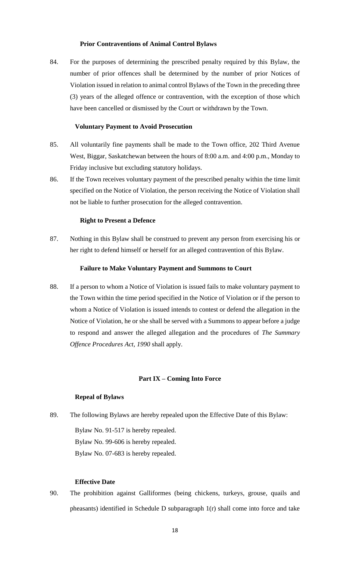#### **Prior Contraventions of Animal Control Bylaws**

84. For the purposes of determining the prescribed penalty required by this Bylaw, the number of prior offences shall be determined by the number of prior Notices of Violation issued in relation to animal control Bylaws of the Town in the preceding three (3) years of the alleged offence or contravention, with the exception of those which have been cancelled or dismissed by the Court or withdrawn by the Town.

#### **Voluntary Payment to Avoid Prosecution**

- 85. All voluntarily fine payments shall be made to the Town office, 202 Third Avenue West, Biggar, Saskatchewan between the hours of 8:00 a.m. and 4:00 p.m., Monday to Friday inclusive but excluding statutory holidays.
- 86. If the Town receives voluntary payment of the prescribed penalty within the time limit specified on the Notice of Violation, the person receiving the Notice of Violation shall not be liable to further prosecution for the alleged contravention.

#### **Right to Present a Defence**

87. Nothing in this Bylaw shall be construed to prevent any person from exercising his or her right to defend himself or herself for an alleged contravention of this Bylaw.

#### **Failure to Make Voluntary Payment and Summons to Court**

88. If a person to whom a Notice of Violation is issued fails to make voluntary payment to the Town within the time period specified in the Notice of Violation or if the person to whom a Notice of Violation is issued intends to contest or defend the allegation in the Notice of Violation, he or she shall be served with a Summons to appear before a judge to respond and answer the alleged allegation and the procedures of *The Summary Offence Procedures Act, 1990* shall apply.

#### **Part IX – Coming Into Force**

#### **Repeal of Bylaws**

89. The following Bylaws are hereby repealed upon the Effective Date of this Bylaw:

Bylaw No. 91-517 is hereby repealed. Bylaw No. 99-606 is hereby repealed. Bylaw No. 07-683 is hereby repealed.

### **Effective Date**

90. The prohibition against Galliformes (being chickens, turkeys, grouse, quails and pheasants) identified in Schedule D subparagraph 1(r) shall come into force and take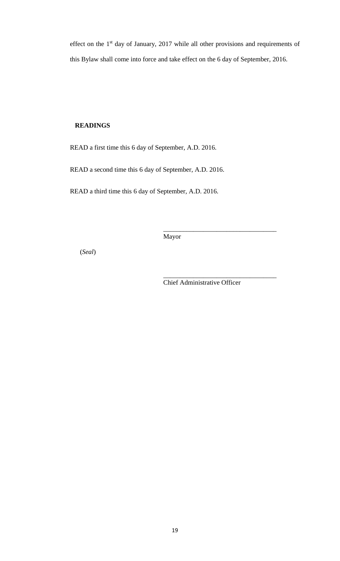effect on the 1<sup>st</sup> day of January, 2017 while all other provisions and requirements of this Bylaw shall come into force and take effect on the 6 day of September, 2016.

### **READINGS**

READ a first time this 6 day of September, A.D. 2016.

READ a second time this 6 day of September, A.D. 2016.

READ a third time this 6 day of September, A.D. 2016.

Mayor

(*Seal*)

Chief Administrative Officer

\_\_\_\_\_\_\_\_\_\_\_\_\_\_\_\_\_\_\_\_\_\_\_\_\_\_\_\_\_\_\_\_\_\_

\_\_\_\_\_\_\_\_\_\_\_\_\_\_\_\_\_\_\_\_\_\_\_\_\_\_\_\_\_\_\_\_\_\_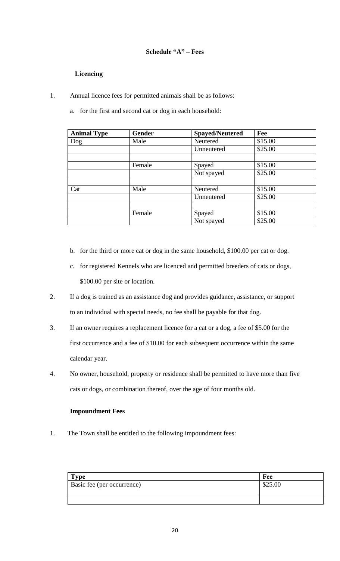# **Schedule "A" – Fees**

# **Licencing**

- 1. Annual licence fees for permitted animals shall be as follows:
	- a. for the first and second cat or dog in each household:

| <b>Animal Type</b> | <b>Gender</b> | <b>Spayed/Neutered</b> | Fee     |
|--------------------|---------------|------------------------|---------|
| $\log$             | Male          | Neutered               | \$15.00 |
|                    |               | Unneutered             | \$25.00 |
|                    |               |                        |         |
|                    | Female        | Spayed                 | \$15.00 |
|                    |               | Not spayed             | \$25.00 |
|                    |               |                        |         |
| Cat                | Male          | Neutered               | \$15.00 |
|                    |               | Unneutered             | \$25.00 |
|                    |               |                        |         |
|                    | Female        | Spayed                 | \$15.00 |
|                    |               | Not spayed             | \$25.00 |

- b. for the third or more cat or dog in the same household, \$100.00 per cat or dog.
- c. for registered Kennels who are licenced and permitted breeders of cats or dogs, \$100.00 per site or location.
- 2. If a dog is trained as an assistance dog and provides guidance, assistance, or support to an individual with special needs, no fee shall be payable for that dog.
- 3. If an owner requires a replacement licence for a cat or a dog, a fee of \$5.00 for the first occurrence and a fee of \$10.00 for each subsequent occurrence within the same calendar year.
- 4. No owner, household, property or residence shall be permitted to have more than five cats or dogs, or combination thereof, over the age of four months old.

### **Impoundment Fees**

1. The Town shall be entitled to the following impoundment fees:

| <b>Type</b>                | Fee     |
|----------------------------|---------|
| Basic fee (per occurrence) | \$25.00 |
|                            |         |
|                            |         |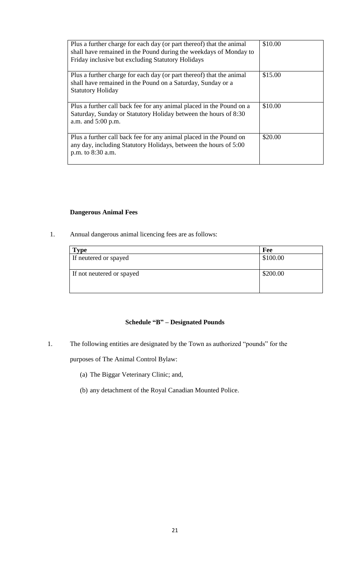| Plus a further charge for each day (or part thereof) that the animal<br>shall have remained in the Pound during the weekdays of Monday to<br>Friday inclusive but excluding Statutory Holidays | \$10.00 |
|------------------------------------------------------------------------------------------------------------------------------------------------------------------------------------------------|---------|
| Plus a further charge for each day (or part thereof) that the animal<br>shall have remained in the Pound on a Saturday, Sunday or a<br><b>Statutory Holiday</b>                                | \$15.00 |
| Plus a further call back fee for any animal placed in the Pound on a<br>Saturday, Sunday or Statutory Holiday between the hours of 8:30<br>a.m. and 5:00 p.m.                                  | \$10.00 |
| Plus a further call back fee for any animal placed in the Pound on<br>any day, including Statutory Holidays, between the hours of 5:00<br>p.m. to 8:30 a.m.                                    | \$20.00 |

# **Dangerous Animal Fees**

1. Annual dangerous animal licencing fees are as follows:

| <b>Type</b>               | Fee      |
|---------------------------|----------|
| If neutered or spayed     | \$100.00 |
| If not neutered or spayed | \$200.00 |

# **Schedule "B" – Designated Pounds**

1. The following entities are designated by the Town as authorized "pounds" for the

purposes of The Animal Control Bylaw:

- (a) The Biggar Veterinary Clinic; and,
- (b) any detachment of the Royal Canadian Mounted Police.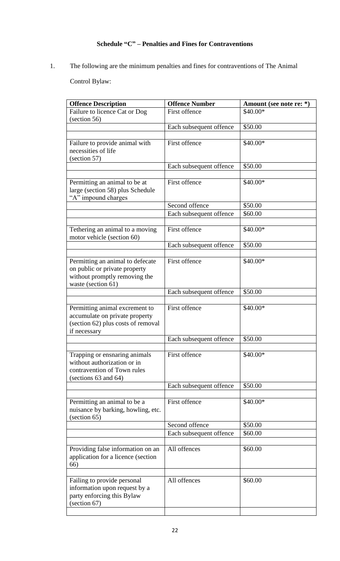# **Schedule "C" – Penalties and Fines for Contraventions**

1. The following are the minimum penalties and fines for contraventions of The Animal

Control Bylaw:

| <b>Offence Description</b>                                                                                               | <b>Offence Number</b>   | Amount (see note re: *) |
|--------------------------------------------------------------------------------------------------------------------------|-------------------------|-------------------------|
| Failure to licence Cat or Dog<br>$\left( \text{section } 56 \right)$                                                     | First offence           | \$40.00*                |
|                                                                                                                          | Each subsequent offence | \$50.00                 |
| Failure to provide animal with<br>necessities of life<br>(section 57)                                                    | <b>First offence</b>    | \$40.00*                |
|                                                                                                                          | Each subsequent offence | \$50.00                 |
| Permitting an animal to be at<br>large (section 58) plus Schedule<br>"A" impound charges                                 | First offence           | \$40.00*                |
|                                                                                                                          | Second offence          | \$50.00                 |
|                                                                                                                          | Each subsequent offence | \$60.00                 |
| Tethering an animal to a moving<br>motor vehicle (section 60)                                                            | First offence           | \$40.00*                |
|                                                                                                                          | Each subsequent offence | \$50.00                 |
| Permitting an animal to defecate<br>on public or private property<br>without promptly removing the<br>waste (section 61) | First offence           | \$40.00*                |
|                                                                                                                          | Each subsequent offence | \$50.00                 |
| Permitting animal excrement to<br>accumulate on private property<br>(section 62) plus costs of removal<br>if necessary   | First offence           | \$40.00*                |
|                                                                                                                          | Each subsequent offence | \$50.00                 |
| Trapping or ensnaring animals<br>without authorization or in<br>contravention of Town rules<br>(sections 63 and 64)      | First offence           | \$40.00*                |
|                                                                                                                          | Each subsequent offence | \$50.00                 |
| Permitting an animal to be a<br>nuisance by barking, howling, etc.<br>(section 65)                                       | First offence           | \$40.00*                |
|                                                                                                                          | Second offence          | \$50.00                 |
|                                                                                                                          | Each subsequent offence | \$60.00                 |
| Providing false information on an<br>application for a licence (section<br>66)                                           | All offences            | \$60.00                 |
| Failing to provide personal<br>information upon request by a<br>party enforcing this Bylaw<br>(section 67)               | All offences            | \$60.00                 |
|                                                                                                                          |                         |                         |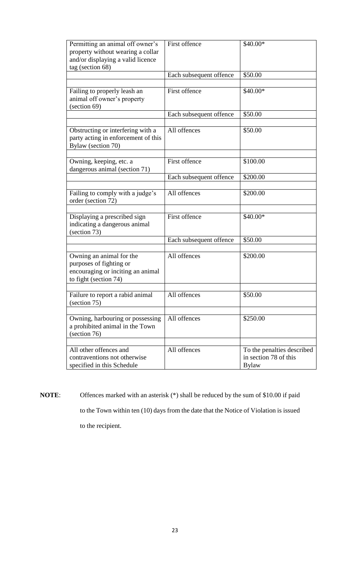| Permitting an animal off owner's<br>property without wearing a collar<br>and/or displaying a valid licence<br>tag (section 68) | First offence           | \$40.00*                                                            |
|--------------------------------------------------------------------------------------------------------------------------------|-------------------------|---------------------------------------------------------------------|
|                                                                                                                                | Each subsequent offence | \$50.00                                                             |
| Failing to properly leash an<br>animal off owner's property<br>(section 69)                                                    | First offence           | \$40.00*                                                            |
|                                                                                                                                | Each subsequent offence | \$50.00                                                             |
| Obstructing or interfering with a<br>party acting in enforcement of this<br>Bylaw (section 70)                                 | All offences            | \$50.00                                                             |
| Owning, keeping, etc. a<br>dangerous animal (section 71)                                                                       | First offence           | \$100.00                                                            |
|                                                                                                                                | Each subsequent offence | \$200.00                                                            |
| Failing to comply with a judge's<br>order (section 72)                                                                         | All offences            | \$200.00                                                            |
| Displaying a prescribed sign<br>indicating a dangerous animal<br>(section 73)                                                  | First offence           | \$40.00*                                                            |
|                                                                                                                                | Each subsequent offence | \$50.00                                                             |
| Owning an animal for the<br>purposes of fighting or<br>encouraging or inciting an animal<br>to fight (section 74)              | All offences            | \$200.00                                                            |
| Failure to report a rabid animal<br>(section 75)                                                                               | All offences            | \$50.00                                                             |
| Owning, harbouring or possessing<br>a prohibited animal in the Town<br>(section 76)                                            | All offences            | \$250.00                                                            |
| All other offences and<br>contraventions not otherwise<br>specified in this Schedule                                           | All offences            | To the penalties described<br>in section 78 of this<br><b>Bylaw</b> |

**NOTE:** Offences marked with an asterisk (\*) shall be reduced by the sum of \$10.00 if paid to the Town within ten (10) days from the date that the Notice of Violation is issued to the recipient.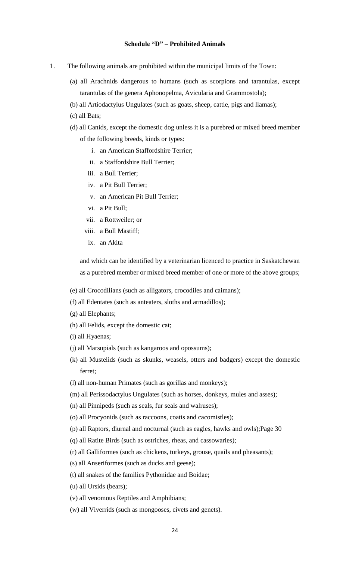### **Schedule "D" – Prohibited Animals**

- 1. The following animals are prohibited within the municipal limits of the Town:
	- (a) all Arachnids dangerous to humans (such as scorpions and tarantulas, except tarantulas of the genera Aphonopelma, Avicularia and Grammostola);
	- (b) all Artiodactylus Ungulates (such as goats, sheep, cattle, pigs and llamas);
	- (c) all Bats;
	- (d) all Canids, except the domestic dog unless it is a purebred or mixed breed member of the following breeds, kinds or types:
		- i. an American Staffordshire Terrier;
		- ii. a Staffordshire Bull Terrier;
		- iii. a Bull Terrier;
		- iv. a Pit Bull Terrier;
		- v. an American Pit Bull Terrier;
		- vi. a Pit Bull;
		- vii. a Rottweiler; or
		- viii. a Bull Mastiff;
		- ix. an Akita

and which can be identified by a veterinarian licenced to practice in Saskatchewan as a purebred member or mixed breed member of one or more of the above groups;

(e) all Crocodilians (such as alligators, crocodiles and caimans);

- (f) all Edentates (such as anteaters, sloths and armadillos);
- (g) all Elephants;
- (h) all Felids, except the domestic cat;
- (i) all Hyaenas;
- (j) all Marsupials (such as kangaroos and opossums);
- (k) all Mustelids (such as skunks, weasels, otters and badgers) except the domestic ferret;
- (l) all non-human Primates (such as gorillas and monkeys);
- (m) all Perissodactylus Ungulates (such as horses, donkeys, mules and asses);
- (n) all Pinnipeds (such as seals, fur seals and walruses);
- (o) all Procyonids (such as raccoons, coatis and cacomistles);
- (p) all Raptors, diurnal and nocturnal (such as eagles, hawks and owls);Page 30
- (q) all Ratite Birds (such as ostriches, rheas, and cassowaries);
- (r) all Galliformes (such as chickens, turkeys, grouse, quails and pheasants);
- (s) all Anseriformes (such as ducks and geese);
- (t) all snakes of the families Pythonidae and Boidae;
- (u) all Ursids (bears);
- (v) all venomous Reptiles and Amphibians;
- (w) all Viverrids (such as mongooses, civets and genets).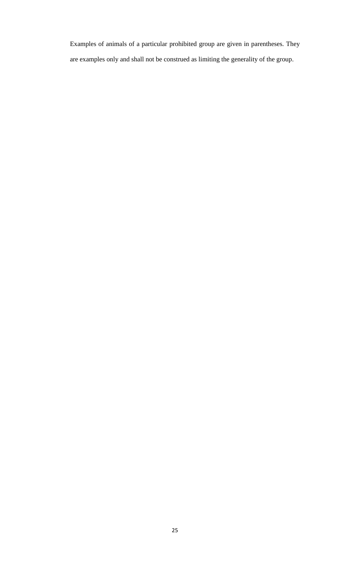Examples of animals of a particular prohibited group are given in parentheses. They are examples only and shall not be construed as limiting the generality of the group.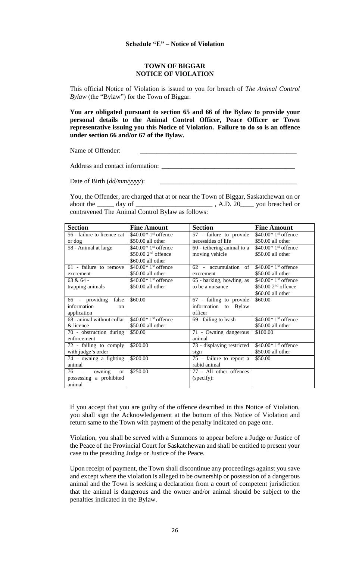#### **TOWN OF BIGGAR NOTICE OF VIOLATION**

This official Notice of Violation is issued to you for breach of *The Animal Control Bylaw* (the "Bylaw") for the Town of Biggar.

**You are obligated pursuant to section 65 and 66 of the Bylaw to provide your personal details to the Animal Control Officer, Peace Officer or Town representative issuing you this Notice of Violation. Failure to do so is an offence under section 66 and/or 67 of the Bylaw.**

Name of Offender:

Address and contact information: \_\_\_\_\_\_\_\_\_\_\_\_\_\_\_\_\_\_\_\_\_\_\_\_\_\_\_\_\_\_\_\_\_\_\_\_\_\_\_\_

Date of Birth (*dd/mm/yyyy*):

You, the Offender, are charged that at or near the Town of Biggar, Saskatchewan on or about the \_\_\_\_\_ day of \_\_\_\_\_\_\_\_\_\_\_\_\_\_\_\_\_\_\_\_\_\_\_ , A.D. 20\_\_\_\_ you breached or contravened The Animal Control Bylaw as follows:

| <b>Section</b>                    | <b>Fine Amount</b>               | <b>Section</b>             | <b>Fine Amount</b>                |
|-----------------------------------|----------------------------------|----------------------------|-----------------------------------|
| 56 - failure to licence cat       | $$40.00*1st$ offence             | 57 - failure to provide    | $$40.00*1st$ offence              |
| or dog                            | \$50.00 all other                | necessities of life        | \$50.00 all other                 |
| 58 - Animal at large              | $$40.00*1st$ offence             | 60 - tethering animal to a | $$40.00*1st$ offence              |
|                                   | $$50.00$ 2 <sup>nd</sup> offence | moving vehicle             | \$50.00 all other                 |
|                                   | \$60.00 all other                |                            |                                   |
| 61 - failure to remove            | $$40.00*1st$ offence             | 62 - accumulation of       | $$40.00*1st$ offence              |
| excrement                         | \$50.00 all other                | excrement                  | \$50.00 all other                 |
| $63 & 64 -$                       | $$40.00*1st$ offence             | 65 - barking, howling, as  | $$40.00*1st$ offence              |
| trapping animals                  | \$50.00 all other                | to be a nuisance           | \$50.00 2 <sup>nd</sup> offence   |
|                                   |                                  |                            | \$60.00 all other                 |
| 66 - providing<br>false           | \$60.00                          | 67 - failing to provide    | \$60.00                           |
| information<br>$\alpha$           |                                  | information to Bylaw       |                                   |
| application                       |                                  | officer                    |                                   |
| 68 - animal without collar        | $$40.00*1$st}$ offence           | 69 - failing to leash      | $$40.00*1$$ <sup>st</sup> offence |
| & licence                         | \$50.00 all other                |                            | \$50.00 all other                 |
| 70 - obstruction during           | \$50.00                          | 71 - Owning dangerous      | \$100.00                          |
| enforcement                       |                                  | animal                     |                                   |
| 72 - failing to comply            | \$200.00                         | 73 - displaying restricted | $$40.00*1st$ offence              |
| with judge's order                |                                  | sign                       | \$50.00 all other                 |
| $74$ – owning a fighting          | \$200.00                         | $75$ – failure to report a | \$50.00                           |
| animal                            |                                  | rabid animal               |                                   |
| $76 - \omega$ owning<br><b>or</b> | \$250.00                         | 77 - All other offences    |                                   |
| possessing a prohibited           |                                  | (specify):                 |                                   |
| animal                            |                                  |                            |                                   |

If you accept that you are guilty of the offence described in this Notice of Violation, you shall sign the Acknowledgement at the bottom of this Notice of Violation and return same to the Town with payment of the penalty indicated on page one.

Violation, you shall be served with a Summons to appear before a Judge or Justice of the Peace of the Provincial Court for Saskatchewan and shall be entitled to present your case to the presiding Judge or Justice of the Peace.

Upon receipt of payment, the Town shall discontinue any proceedings against you save and except where the violation is alleged to be ownership or possession of a dangerous animal and the Town is seeking a declaration from a court of competent jurisdiction that the animal is dangerous and the owner and/or animal should be subject to the penalties indicated in the Bylaw.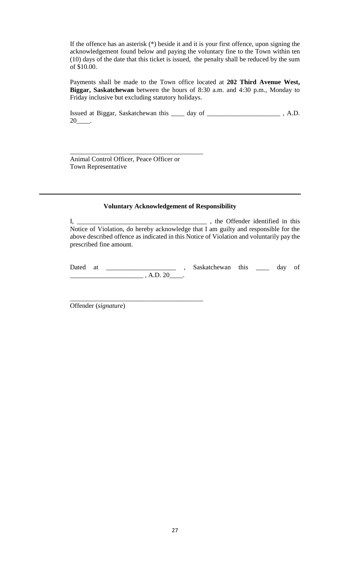If the offence has an asterisk (\*) beside it and it is your first offence, upon signing the acknowledgement found below and paying the voluntary fine to the Town within ten (10) days of the date that this ticket is issued, the penalty shall be reduced by the sum of \$10.00.

Payments shall be made to the Town office located at **202 Third Avenue West, Biggar, Saskatchewan** between the hours of 8:30 a.m. and 4:30 p.m., Monday to Friday inclusive but excluding statutory holidays.

Issued at Biggar, Saskatchewan this \_\_\_\_ day of \_\_\_\_\_\_\_\_\_\_\_\_\_\_\_\_\_\_\_\_\_\_ , A.D.  $20$  .

Animal Control Officer, Peace Officer or Town Representative

\_\_\_\_\_\_\_\_\_\_\_\_\_\_\_\_\_\_\_\_\_\_\_\_\_\_\_\_\_\_\_\_\_\_\_\_\_\_\_\_

\_\_\_\_\_\_\_\_\_\_\_\_\_\_\_\_\_\_\_\_\_\_\_\_\_\_\_\_\_\_\_\_\_\_\_\_\_\_\_\_

#### **Voluntary Acknowledgement of Responsibility**

I, \_\_\_\_\_\_\_\_\_\_\_\_\_\_\_\_\_\_\_\_\_\_\_\_\_\_\_\_\_\_\_\_\_\_\_\_\_\_\_ , the Offender identified in this Notice of Violation, do hereby acknowledge that I am guilty and responsible for the above described offence as indicated in this Notice of Violation and voluntarily pay the prescribed fine amount.

| Dated | at |      | Saskatchewan this |  | dav | ΟÌ |
|-------|----|------|-------------------|--|-----|----|
|       |    | A.D. |                   |  |     |    |

Offender (*signature*)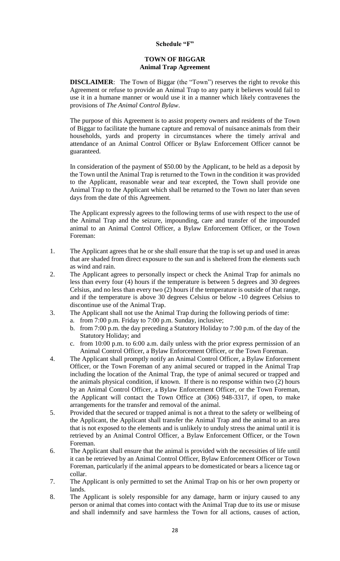# **Schedule "F"**

#### **TOWN OF BIGGAR Animal Trap Agreement**

**DISCLAIMER:** The Town of Biggar (the "Town") reserves the right to revoke this Agreement or refuse to provide an Animal Trap to any party it believes would fail to use it in a humane manner or would use it in a manner which likely contravenes the provisions of *The Animal Control Bylaw*.

The purpose of this Agreement is to assist property owners and residents of the Town of Biggar to facilitate the humane capture and removal of nuisance animals from their households, yards and property in circumstances where the timely arrival and attendance of an Animal Control Officer or Bylaw Enforcement Officer cannot be guaranteed.

In consideration of the payment of \$50.00 by the Applicant, to be held as a deposit by the Town until the Animal Trap is returned to the Town in the condition it was provided to the Applicant, reasonable wear and tear excepted, the Town shall provide one Animal Trap to the Applicant which shall be returned to the Town no later than seven days from the date of this Agreement.

The Applicant expressly agrees to the following terms of use with respect to the use of the Animal Trap and the seizure, impounding, care and transfer of the impounded animal to an Animal Control Officer, a Bylaw Enforcement Officer, or the Town Foreman:

- 1. The Applicant agrees that he or she shall ensure that the trap is set up and used in areas that are shaded from direct exposure to the sun and is sheltered from the elements such as wind and rain.
- 2. The Applicant agrees to personally inspect or check the Animal Trap for animals no less than every four (4) hours if the temperature is between 5 degrees and 30 degrees Celsius, and no less than every two (2) hours if the temperature is outside of that range, and if the temperature is above 30 degrees Celsius or below -10 degrees Celsius to discontinue use of the Animal Trap.
- 3. The Applicant shall not use the Animal Trap during the following periods of time:
	- a. from 7:00 p.m. Friday to 7:00 p.m. Sunday, inclusive;
	- b. from 7:00 p.m. the day preceding a Statutory Holiday to 7:00 p.m. of the day of the Statutory Holiday; and
	- c. from 10:00 p.m. to 6:00 a.m. daily unless with the prior express permission of an Animal Control Officer, a Bylaw Enforcement Officer, or the Town Foreman.
- 4. The Applicant shall promptly notify an Animal Control Officer, a Bylaw Enforcement Officer, or the Town Foreman of any animal secured or trapped in the Animal Trap including the location of the Animal Trap, the type of animal secured or trapped and the animals physical condition, if known. If there is no response within two (2) hours by an Animal Control Officer, a Bylaw Enforcement Officer, or the Town Foreman, the Applicant will contact the Town Office at (306) 948-3317, if open, to make arrangements for the transfer and removal of the animal.
- 5. Provided that the secured or trapped animal is not a threat to the safety or wellbeing of the Applicant, the Applicant shall transfer the Animal Trap and the animal to an area that is not exposed to the elements and is unlikely to unduly stress the animal until it is retrieved by an Animal Control Officer, a Bylaw Enforcement Officer, or the Town Foreman.
- 6. The Applicant shall ensure that the animal is provided with the necessities of life until it can be retrieved by an Animal Control Officer, Bylaw Enforcement Officer or Town Foreman, particularly if the animal appears to be domesticated or bears a licence tag or collar.
- 7. The Applicant is only permitted to set the Animal Trap on his or her own property or lands.
- 8. The Applicant is solely responsible for any damage, harm or injury caused to any person or animal that comes into contact with the Animal Trap due to its use or misuse and shall indemnify and save harmless the Town for all actions, causes of action,